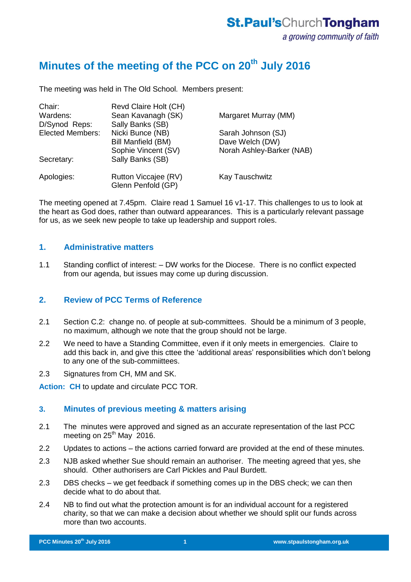# **Minutes of the meeting of the PCC on 20th July 2016**

The meeting was held in The Old School. Members present:

| Chair:                  | Revd Claire Holt (CH)                      |                           |
|-------------------------|--------------------------------------------|---------------------------|
| Wardens:                | Sean Kavanagh (SK)                         | Margaret Murray (MM)      |
| D/Synod Reps:           | Sally Banks (SB)                           |                           |
| <b>Elected Members:</b> | Nicki Bunce (NB)                           | Sarah Johnson (SJ)        |
|                         | Bill Manfield (BM)                         | Dave Welch (DW)           |
|                         | Sophie Vincent (SV)                        | Norah Ashley-Barker (NAB) |
| Secretary:              | Sally Banks (SB)                           |                           |
| Apologies:              | Rutton Viccajee (RV)<br>Glenn Penfold (GP) | <b>Kay Tauschwitz</b>     |
|                         |                                            |                           |

The meeting opened at 7.45pm. Claire read 1 Samuel 16 v1-17. This challenges to us to look at the heart as God does, rather than outward appearances. This is a particularly relevant passage for us, as we seek new people to take up leadership and support roles.

#### **1. Administrative matters**

1.1 Standing conflict of interest: – DW works for the Diocese. There is no conflict expected from our agenda, but issues may come up during discussion.

#### **2. Review of PCC Terms of Reference**

- 2.1 Section C.2: change no. of people at sub-committees. Should be a minimum of 3 people, no maximum, although we note that the group should not be large.
- 2.2 We need to have a Standing Committee, even if it only meets in emergencies. Claire to add this back in, and give this cttee the 'additional areas' responsibilities which don't belong to any one of the sub-commiittees.
- 2.3 Signatures from CH, MM and SK.

**Action: CH** to update and circulate PCC TOR.

#### **3. Minutes of previous meeting & matters arising**

- 2.1 The minutes were approved and signed as an accurate representation of the last PCC meeting on  $25<sup>th</sup>$  May  $2016$ .
- 2.2 Updates to actions the actions carried forward are provided at the end of these minutes.
- 2.3 NJB asked whether Sue should remain an authoriser. The meeting agreed that yes, she should. Other authorisers are Carl Pickles and Paul Burdett.
- 2.3 DBS checks we get feedback if something comes up in the DBS check; we can then decide what to do about that.
- 2.4 NB to find out what the protection amount is for an individual account for a registered charity, so that we can make a decision about whether we should split our funds across more than two accounts.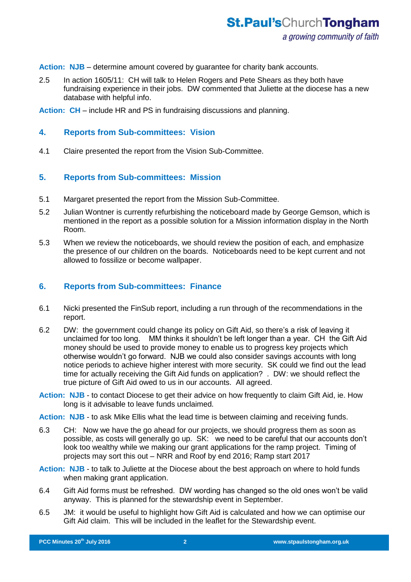**Action: NJB** – determine amount covered by guarantee for charity bank accounts.

2.5 In action 1605/11: CH will talk to Helen Rogers and Pete Shears as they both have fundraising experience in their jobs. DW commented that Juliette at the diocese has a new database with helpful info.

**Action: CH** – include HR and PS in fundraising discussions and planning.

#### **4. Reports from Sub-committees: Vision**

4.1 Claire presented the report from the Vision Sub-Committee.

#### **5. Reports from Sub-committees: Mission**

- 5.1 Margaret presented the report from the Mission Sub-Committee.
- 5.2 Julian Wontner is currently refurbishing the noticeboard made by George Gemson, which is mentioned in the report as a possible solution for a Mission information display in the North Room.
- 5.3 When we review the noticeboards, we should review the position of each, and emphasize the presence of our children on the boards. Noticeboards need to be kept current and not allowed to fossilize or become wallpaper.

#### **6. Reports from Sub-committees: Finance**

- 6.1 Nicki presented the FinSub report, including a run through of the recommendations in the report.
- 6.2 DW: the government could change its policy on Gift Aid, so there's a risk of leaving it unclaimed for too long. MM thinks it shouldn't be left longer than a year. CH the Gift Aid money should be used to provide money to enable us to progress key projects which otherwise wouldn't go forward. NJB we could also consider savings accounts with long notice periods to achieve higher interest with more security. SK could we find out the lead time for actually receiving the Gift Aid funds on application? . DW: we should reflect the true picture of Gift Aid owed to us in our accounts. All agreed.
- **Action: NJB** to contact Diocese to get their advice on how frequently to claim Gift Aid, ie. How long is it advisable to leave funds unclaimed.
- Action: NJB to ask Mike Ellis what the lead time is between claiming and receiving funds.
- 6.3 CH: Now we have the go ahead for our projects, we should progress them as soon as possible, as costs will generally go up. SK: we need to be careful that our accounts don't look too wealthy while we making our grant applications for the ramp project. Timing of projects may sort this out – NRR and Roof by end 2016; Ramp start 2017
- **Action: NJB** to talk to Juliette at the Diocese about the best approach on where to hold funds when making grant application.
- 6.4 Gift Aid forms must be refreshed. DW wording has changed so the old ones won't be valid anyway. This is planned for the stewardship event in September.
- 6.5 JM: it would be useful to highlight how Gift Aid is calculated and how we can optimise our Gift Aid claim. This will be included in the leaflet for the Stewardship event.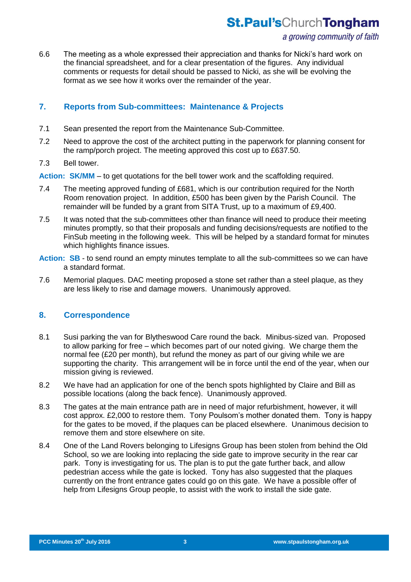## **St.Paul's**ChurchTongham

6.6 The meeting as a whole expressed their appreciation and thanks for Nicki's hard work on the financial spreadsheet, and for a clear presentation of the figures. Any individual comments or requests for detail should be passed to Nicki, as she will be evolving the format as we see how it works over the remainder of the year.

#### **7. Reports from Sub-committees: Maintenance & Projects**

- 7.1 Sean presented the report from the Maintenance Sub-Committee.
- 7.2 Need to approve the cost of the architect putting in the paperwork for planning consent for the ramp/porch project. The meeting approved this cost up to £637.50.
- 7.3 Bell tower.

Action: SK/MM – to get quotations for the bell tower work and the scaffolding required.

- 7.4 The meeting approved funding of £681, which is our contribution required for the North Room renovation project. In addition, £500 has been given by the Parish Council. The remainder will be funded by a grant from SITA Trust, up to a maximum of £9,400.
- 7.5 It was noted that the sub-committees other than finance will need to produce their meeting minutes promptly, so that their proposals and funding decisions/requests are notified to the FinSub meeting in the following week. This will be helped by a standard format for minutes which highlights finance issues.
- Action: SB to send round an empty minutes template to all the sub-committees so we can have a standard format.
- 7.6 Memorial plaques. DAC meeting proposed a stone set rather than a steel plaque, as they are less likely to rise and damage mowers. Unanimously approved.

#### **8. Correspondence**

- 8.1 Susi parking the van for Blytheswood Care round the back. Minibus-sized van. Proposed to allow parking for free – which becomes part of our noted giving. We charge them the normal fee (£20 per month), but refund the money as part of our giving while we are supporting the charity. This arrangement will be in force until the end of the year, when our mission giving is reviewed.
- 8.2 We have had an application for one of the bench spots highlighted by Claire and Bill as possible locations (along the back fence). Unanimously approved.
- 8.3 The gates at the main entrance path are in need of major refurbishment, however, it will cost approx. £2,000 to restore them. Tony Poulsom's mother donated them. Tony is happy for the gates to be moved, if the plaques can be placed elsewhere. Unanimous decision to remove them and store elsewhere on site.
- 8.4 One of the Land Rovers belonging to Lifesigns Group has been stolen from behind the Old School, so we are looking into replacing the side gate to improve security in the rear car park. Tony is investigating for us. The plan is to put the gate further back, and allow pedestrian access while the gate is locked. Tony has also suggested that the plaques currently on the front entrance gates could go on this gate. We have a possible offer of help from Lifesigns Group people, to assist with the work to install the side gate.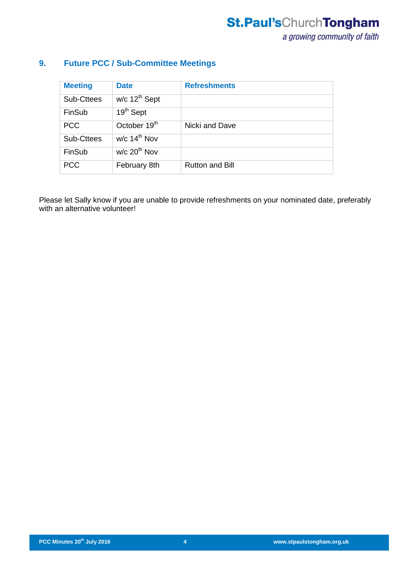### **9. Future PCC / Sub-Committee Meetings**

| <b>Meeting</b> | <b>Date</b>                 | <b>Refreshments</b>    |
|----------------|-----------------------------|------------------------|
| Sub-Cttees     | $w/c$ 12 <sup>th</sup> Sept |                        |
| FinSub         | 19 <sup>th</sup> Sept       |                        |
| <b>PCC</b>     | October 19 <sup>th</sup>    | Nicki and Dave         |
| Sub-Cttees     | $W/c$ 14 <sup>th</sup> Nov  |                        |
| FinSub         | $W/c$ 20 <sup>th</sup> Nov  |                        |
| <b>PCC</b>     | February 8th                | <b>Rutton and Bill</b> |

Please let Sally know if you are unable to provide refreshments on your nominated date, preferably with an alternative volunteer!